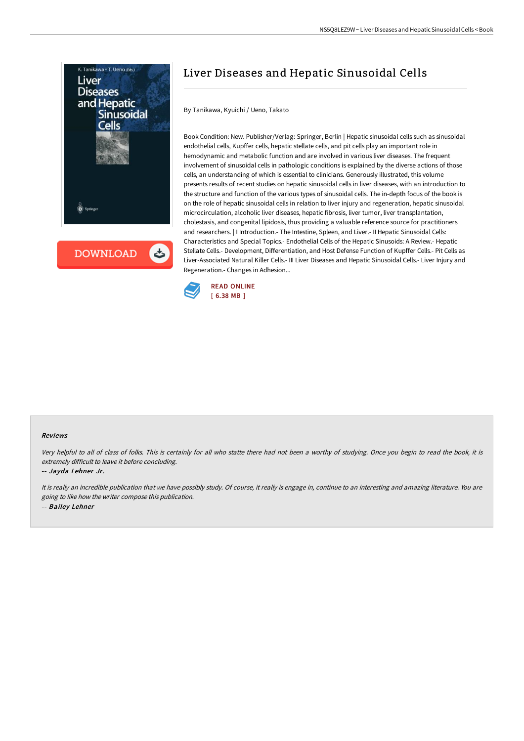

## Liver Diseases and Hepatic Sinusoidal Cells

By Tanikawa, Kyuichi / Ueno, Takato

Book Condition: New. Publisher/Verlag: Springer, Berlin | Hepatic sinusoidal cells such as sinusoidal endothelial cells, Kupffer cells, hepatic stellate cells, and pit cells play an important role in hemodynamic and metabolic function and are involved in various liver diseases. The frequent involvement of sinusoidal cells in pathologic conditions is explained by the diverse actions of those cells, an understanding of which is essential to clinicians. Generously illustrated, this volume presents results of recent studies on hepatic sinusoidal cells in liver diseases, with an introduction to the structure and function of the various types of sinusoidal cells. The in-depth focus of the book is on the role of hepatic sinusoidal cells in relation to liver injury and regeneration, hepatic sinusoidal microcirculation, alcoholic liver diseases, hepatic fibrosis, liver tumor, liver transplantation, cholestasis, and congenital lipidosis, thus providing a valuable reference source for practitioners and researchers. | I Introduction.- The Intestine, Spleen, and Liver.- II Hepatic Sinusoidal Cells: Characteristics and Special Topics.- Endothelial Cells of the Hepatic Sinusoids: A Review.- Hepatic Stellate Cells.- Development, Differentiation, and Host Defense Function of Kupffer Cells.- Pit Cells as Liver-Associated Natural Killer Cells.- III Liver Diseases and Hepatic Sinusoidal Cells.- Liver Injury and Regeneration.- Changes in Adhesion...



## Reviews

Very helpful to all of class of folks. This is certainly for all who statte there had not been <sup>a</sup> worthy of studying. Once you begin to read the book, it is extremely difficult to leave it before concluding.

-- Jayda Lehner Jr.

It is really an incredible publication that we have possibly study. Of course, it really is engage in, continue to an interesting and amazing literature. You are going to like how the writer compose this publication. -- Bailey Lehner